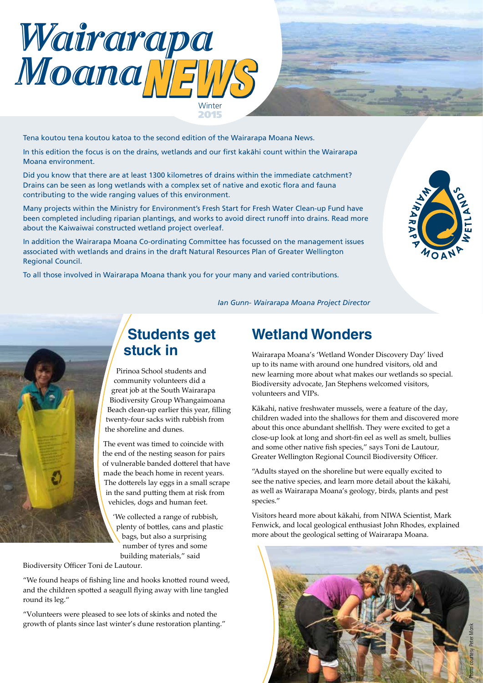

Tena koutou tena koutou katoa to the second edition of the Wairarapa Moana News.

In this edition the focus is on the drains, wetlands and our first kakähi count within the Wairarapa Moana environment.

Did you know that there are at least 1300 kilometres of drains within the immediate catchment? Drains can be seen as long wetlands with a complex set of native and exotic flora and fauna contributing to the wide ranging values of this environment.

Many projects within the Ministry for Environment's Fresh Start for Fresh Water Clean-up Fund have been completed including riparian plantings, and works to avoid direct runoff into drains. Read more about the Kaiwaiwai constructed wetland project overleaf.

In addition the Wairarapa Moana Co-ordinating Committee has focussed on the management issues associated with wetlands and drains in the draft Natural Resources Plan of Greater Wellington Regional Council.

To all those involved in Wairarapa Moana thank you for your many and varied contributions.



*Ian Gunn- Wairarapa Moana Project Director* 



## **Students get stuck in**

Pirinoa School students and community volunteers did a great job at the South Wairarapa Biodiversity Group Whangaimoana Beach clean-up earlier this year, filling twenty-four sacks with rubbish from the shoreline and dunes.

The event was timed to coincide with the end of the nesting season for pairs of vulnerable banded dotterel that have made the beach home in recent years. The dotterels lay eggs in a small scrape in the sand putting them at risk from vehicles, dogs and human feet.

'We collected a range of rubbish, plenty of bottles, cans and plastic bags, but also a surprising number of tyres and some building materials," said

Biodiversity Officer Toni de Lautour.

"We found heaps of fishing line and hooks knotted round weed, and the children spotted a seagull flying away with line tangled round its leg."

"Volunteers were pleased to see lots of skinks and noted the growth of plants since last winter's dune restoration planting."

### **Wetland Wonders**

Wairarapa Moana's 'Wetland Wonder Discovery Day' lived up to its name with around one hundred visitors, old and new learning more about what makes our wetlands so special. Biodiversity advocate, Jan Stephens welcomed visitors, volunteers and VIPs.

Kākahi, native freshwater mussels, were a feature of the day, children waded into the shallows for them and discovered more about this once abundant shellfish. They were excited to get a close-up look at long and short-fin eel as well as smelt, bullies and some other native fish species," says Toni de Lautour, Greater Wellington Regional Council Biodiversity Officer.

"Adults stayed on the shoreline but were equally excited to see the native species, and learn more detail about the kākahi, as well as Wairarapa Moana's geology, birds, plants and pest species."

Visitors heard more about kākahi, from NIWA Scientist, Mark Fenwick, and local geological enthusiast John Rhodes, explained more about the geological setting of Wairarapa Moana.

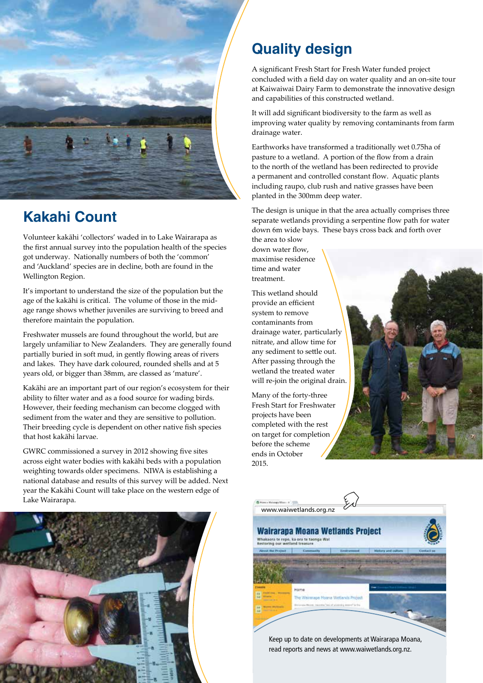

# **Kakahi Count**

Volunteer kakāhi 'collectors' waded in to Lake Wairarapa as the first annual survey into the population health of the species got underway. Nationally numbers of both the 'common' and 'Auckland' species are in decline, both are found in the Wellington Region.

It's important to understand the size of the population but the age of the kakāhi is critical. The volume of those in the midage range shows whether juveniles are surviving to breed and therefore maintain the population.

Freshwater mussels are found throughout the world, but are largely unfamiliar to New Zealanders. They are generally found partially buried in soft mud, in gently flowing areas of rivers and lakes. They have dark coloured, rounded shells and at 5 years old, or bigger than 38mm, are classed as 'mature'.

Kakāhi are an important part of our region's ecosystem for their ability to filter water and as a food source for wading birds. However, their feeding mechanism can become clogged with sediment from the water and they are sensitive to pollution. Their breeding cycle is dependent on other native fish species that host kakāhi larvae.

GWRC commissioned a survey in 2012 showing five sites across eight water bodies with kakāhi beds with a population weighting towards older specimens. NIWA is establishing a national database and results of this survey will be added. Next year the Kakāhi Count will take place on the western edge of Lake Wairarapa.

# **Quality design**

A significant Fresh Start for Fresh Water funded project concluded with a field day on water quality and an on-site tour at Kaiwaiwai Dairy Farm to demonstrate the innovative design and capabilities of this constructed wetland.

It will add significant biodiversity to the farm as well as improving water quality by removing contaminants from farm drainage water.

Earthworks have transformed a traditionally wet 0.75ha of pasture to a wetland. A portion of the flow from a drain to the north of the wetland has been redirected to provide a permanent and controlled constant flow. Aquatic plants including raupo, club rush and native grasses have been planted in the 300mm deep water.

The design is unique in that the area actually comprises three separate wetlands providing a serpentine flow path for water down 6m wide bays. These bays cross back and forth over the area to slow

down water flow, maximise residence time and water treatment.

This wetland should provide an efficient system to remove contaminants from drainage water, particularly nitrate, and allow time for any sediment to settle out. After passing through the wetland the treated water will re-join the original drain.

Many of the forty-three Fresh Start for Freshwater projects have been completed with the rest on target for completion before the scheme ends in October 2015.







Keep up to date on developments at Wairarapa Moana, read reports and news at www.waiwetlands.org.nz.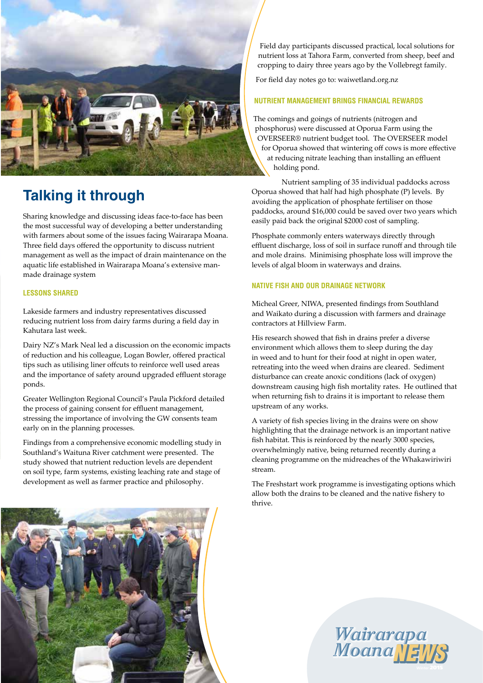

# **Talking it through**

Sharing knowledge and discussing ideas face-to-face has been the most successful way of developing a better understanding with farmers about some of the issues facing Wairarapa Moana. Three field days offered the opportunity to discuss nutrient management as well as the impact of drain maintenance on the aquatic life established in Wairarapa Moana's extensive manmade drainage system

#### **LESSONS SHARED**

Lakeside farmers and industry representatives discussed reducing nutrient loss from dairy farms during a field day in Kahutara last week.

Dairy NZ's Mark Neal led a discussion on the economic impacts of reduction and his colleague, Logan Bowler, offered practical tips such as utilising liner offcuts to reinforce well used areas and the importance of safety around upgraded effluent storage ponds.

Greater Wellington Regional Council's Paula Pickford detailed the process of gaining consent for effluent management, stressing the importance of involving the GW consents team early on in the planning processes.

Findings from a comprehensive economic modelling study in Southland's Waituna River catchment were presented. The study showed that nutrient reduction levels are dependent on soil type, farm systems, existing leaching rate and stage of development as well as farmer practice and philosophy.

Field day participants discussed practical, local solutions for nutrient loss at Tahora Farm, converted from sheep, beef and cropping to dairy three years ago by the Vollebregt family.

For field day notes go to: waiwetland.org.nz

#### **NUTRIENT MANAGEMENT BRINGS FINANCIAL REWARDS**

The comings and goings of nutrients (nitrogen and phosphorus) were discussed at Oporua Farm using the OVERSEER® nutrient budget tool. The OVERSEER model for Oporua showed that wintering off cows is more effective at reducing nitrate leaching than installing an effluent holding pond.

Nutrient sampling of 35 individual paddocks across Oporua showed that half had high phosphate (P) levels. By avoiding the application of phosphate fertiliser on those paddocks, around \$16,000 could be saved over two years which easily paid back the original \$2000 cost of sampling.

Phosphate commonly enters waterways directly through effluent discharge, loss of soil in surface runoff and through tile and mole drains. Minimising phosphate loss will improve the levels of algal bloom in waterways and drains.

#### **NATIVE FISH AND OUR DRAINAGE NETWORK**

Micheal Greer, NIWA, presented findings from Southland and Waikato during a discussion with farmers and drainage contractors at Hillview Farm.

His research showed that fish in drains prefer a diverse environment which allows them to sleep during the day in weed and to hunt for their food at night in open water, retreating into the weed when drains are cleared. Sediment disturbance can create anoxic conditions (lack of oxygen) downstream causing high fish mortality rates. He outlined that when returning fish to drains it is important to release them upstream of any works.

A variety of fish species living in the drains were on show highlighting that the drainage network is an important native fish habitat. This is reinforced by the nearly 3000 species, overwhelmingly native, being returned recently during a cleaning programme on the midreaches of the Whakawiriwiri stream.

The Freshstart work programme is investigating options which allow both the drains to be cleaned and the native fishery to thrive.